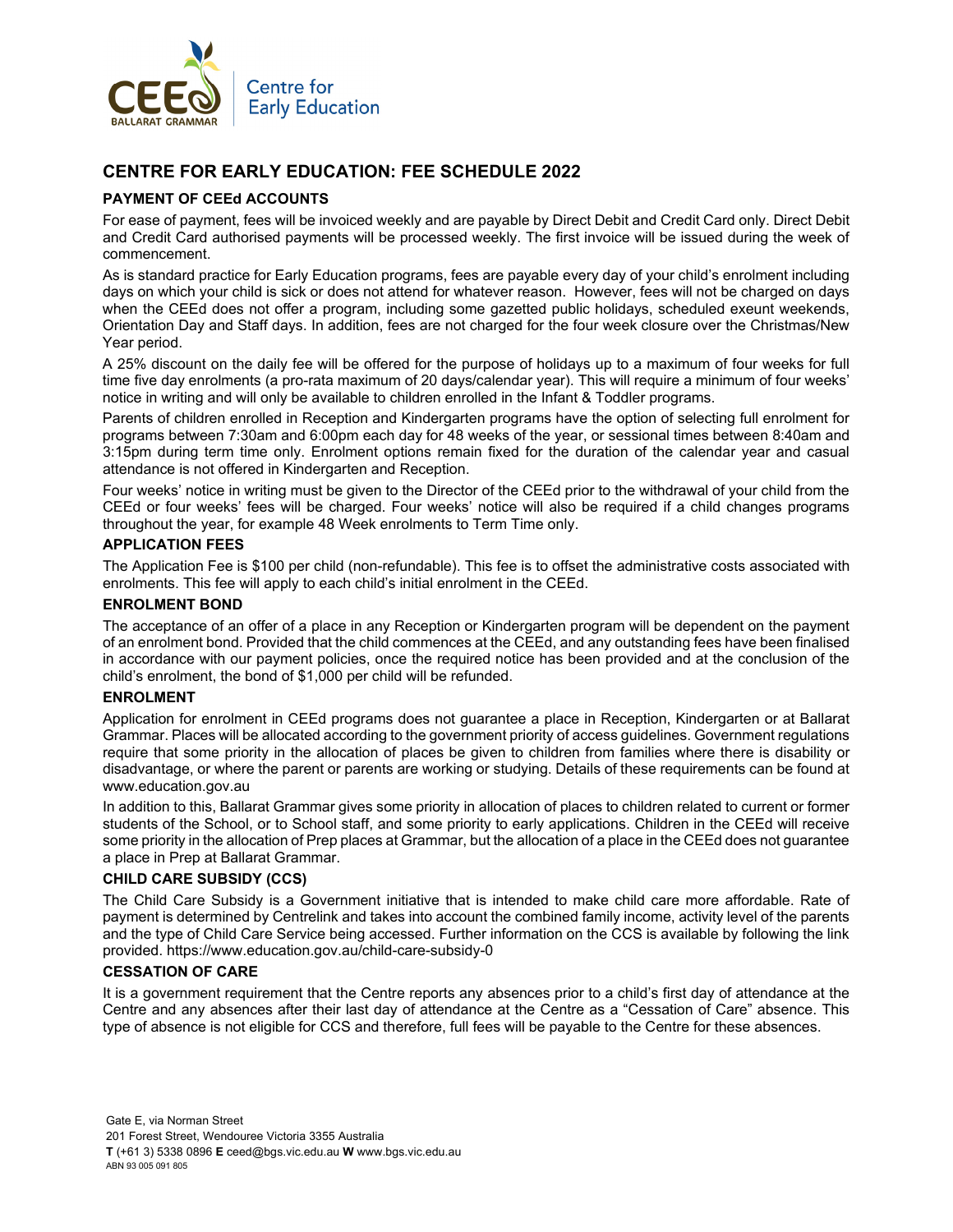

# **CENTRE FOR EARLY EDUCATION: FEE SCHEDULE 2022**

## **PAYMENT OF CEEd ACCOUNTS**

For ease of payment, fees will be invoiced weekly and are payable by Direct Debit and Credit Card only. Direct Debit and Credit Card authorised payments will be processed weekly. The first invoice will be issued during the week of commencement.

As is standard practice for Early Education programs, fees are payable every day of your child's enrolment including days on which your child is sick or does not attend for whatever reason. However, fees will not be charged on days when the CEEd does not offer a program, including some gazetted public holidays, scheduled exeunt weekends, Orientation Day and Staff days. In addition, fees are not charged for the four week closure over the Christmas/New Year period.

A 25% discount on the daily fee will be offered for the purpose of holidays up to a maximum of four weeks for full time five day enrolments (a pro-rata maximum of 20 days/calendar year). This will require a minimum of four weeks' notice in writing and will only be available to children enrolled in the Infant & Toddler programs.

Parents of children enrolled in Reception and Kindergarten programs have the option of selecting full enrolment for programs between 7:30am and 6:00pm each day for 48 weeks of the year, or sessional times between 8:40am and 3:15pm during term time only. Enrolment options remain fixed for the duration of the calendar year and casual attendance is not offered in Kindergarten and Reception.

Four weeks' notice in writing must be given to the Director of the CEEd prior to the withdrawal of your child from the CEEd or four weeks' fees will be charged. Four weeks' notice will also be required if a child changes programs throughout the year, for example 48 Week enrolments to Term Time only.

## **APPLICATION FEES**

The Application Fee is \$100 per child (non-refundable). This fee is to offset the administrative costs associated with enrolments. This fee will apply to each child's initial enrolment in the CEEd.

#### **ENROLMENT BOND**

The acceptance of an offer of a place in any Reception or Kindergarten program will be dependent on the payment of an enrolment bond. Provided that the child commences at the CEEd, and any outstanding fees have been finalised in accordance with our payment policies, once the required notice has been provided and at the conclusion of the child's enrolment, the bond of \$1,000 per child will be refunded.

## **ENROLMENT**

Application for enrolment in CEEd programs does not guarantee a place in Reception, Kindergarten or at Ballarat Grammar. Places will be allocated according to the government priority of access guidelines. Government regulations require that some priority in the allocation of places be given to children from families where there is disability or disadvantage, or where the parent or parents are working or studying. Details of these requirements can be found at www.education.gov.au

In addition to this, Ballarat Grammar gives some priority in allocation of places to children related to current or former students of the School, or to School staff, and some priority to early applications. Children in the CEEd will receive some priority in the allocation of Prep places at Grammar, but the allocation of a place in the CEEd does not guarantee a place in Prep at Ballarat Grammar.

## **CHILD CARE SUBSIDY (CCS)**

The Child Care Subsidy is a Government initiative that is intended to make child care more affordable. Rate of payment is determined by Centrelink and takes into account the combined family income, activity level of the parents and the type of Child Care Service being accessed. Further information on the CCS is available by following the link provided. https://www.education.gov.au/child-care-subsidy-0

## **CESSATION OF CARE**

It is a government requirement that the Centre reports any absences prior to a child's first day of attendance at the Centre and any absences after their last day of attendance at the Centre as a "Cessation of Care" absence. This type of absence is not eligible for CCS and therefore, full fees will be payable to the Centre for these absences.